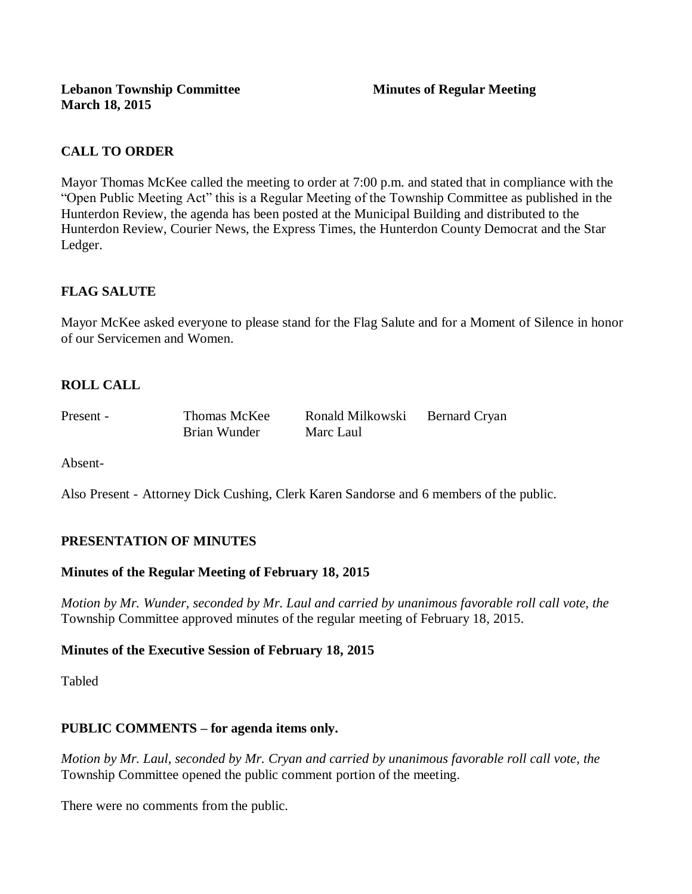# **CALL TO ORDER**

Mayor Thomas McKee called the meeting to order at 7:00 p.m. and stated that in compliance with the "Open Public Meeting Act" this is a Regular Meeting of the Township Committee as published in the Hunterdon Review, the agenda has been posted at the Municipal Building and distributed to the Hunterdon Review, Courier News, the Express Times, the Hunterdon County Democrat and the Star Ledger.

# **FLAG SALUTE**

Mayor McKee asked everyone to please stand for the Flag Salute and for a Moment of Silence in honor of our Servicemen and Women.

# **ROLL CALL**

Brian Wunder Marc Laul

Present - Thomas McKee Ronald Milkowski Bernard Cryan

Absent-

Also Present - Attorney Dick Cushing, Clerk Karen Sandorse and 6 members of the public.

## **PRESENTATION OF MINUTES**

## **Minutes of the Regular Meeting of February 18, 2015**

*Motion by Mr. Wunder, seconded by Mr. Laul and carried by unanimous favorable roll call vote, the*  Township Committee approved minutes of the regular meeting of February 18, 2015.

## **Minutes of the Executive Session of February 18, 2015**

Tabled

## **PUBLIC COMMENTS – for agenda items only.**

*Motion by Mr. Laul, seconded by Mr. Cryan and carried by unanimous favorable roll call vote, the* Township Committee opened the public comment portion of the meeting.

There were no comments from the public.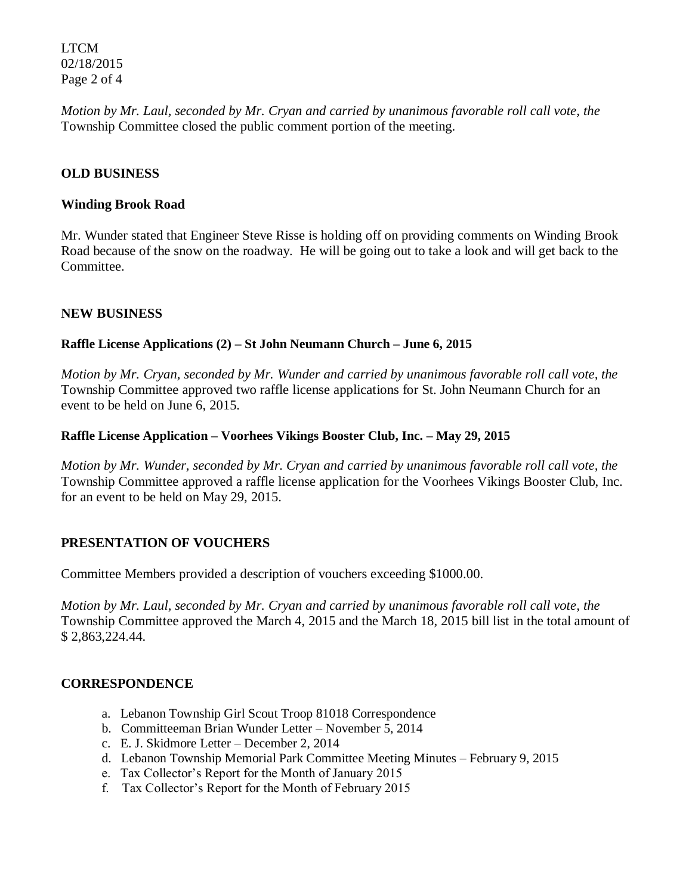LTCM 02/18/2015 Page 2 of 4

*Motion by Mr. Laul, seconded by Mr. Cryan and carried by unanimous favorable roll call vote, the* Township Committee closed the public comment portion of the meeting.

### **OLD BUSINESS**

#### **Winding Brook Road**

Mr. Wunder stated that Engineer Steve Risse is holding off on providing comments on Winding Brook Road because of the snow on the roadway. He will be going out to take a look and will get back to the Committee.

#### **NEW BUSINESS**

#### **Raffle License Applications (2) – St John Neumann Church – June 6, 2015**

*Motion by Mr. Cryan, seconded by Mr. Wunder and carried by unanimous favorable roll call vote, the* Township Committee approved two raffle license applications for St. John Neumann Church for an event to be held on June 6, 2015.

#### **Raffle License Application – Voorhees Vikings Booster Club, Inc. – May 29, 2015**

*Motion by Mr. Wunder, seconded by Mr. Cryan and carried by unanimous favorable roll call vote, the* Township Committee approved a raffle license application for the Voorhees Vikings Booster Club, Inc. for an event to be held on May 29, 2015.

#### **PRESENTATION OF VOUCHERS**

Committee Members provided a description of vouchers exceeding \$1000.00.

*Motion by Mr. Laul, seconded by Mr. Cryan and carried by unanimous favorable roll call vote, the* Township Committee approved the March 4, 2015 and the March 18, 2015 bill list in the total amount of \$ 2,863,224.44.

#### **CORRESPONDENCE**

- a. Lebanon Township Girl Scout Troop 81018 Correspondence
- b. Committeeman Brian Wunder Letter November 5, 2014
- c. E. J. Skidmore Letter December 2, 2014
- d. Lebanon Township Memorial Park Committee Meeting Minutes February 9, 2015
- e. Tax Collector's Report for the Month of January 2015
- f. Tax Collector's Report for the Month of February 2015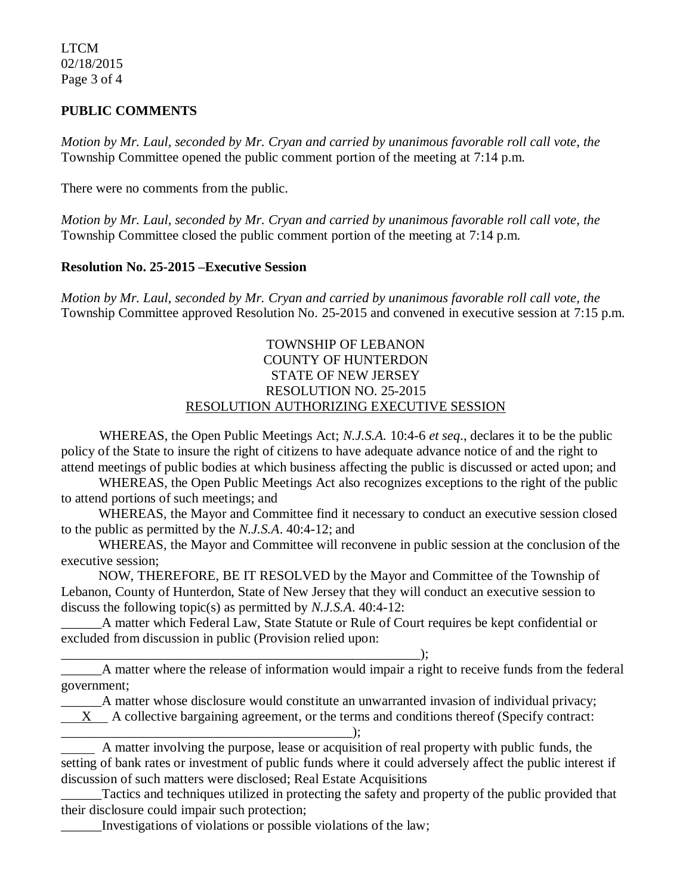LTCM 02/18/2015 Page 3 of 4

### **PUBLIC COMMENTS**

*Motion by Mr. Laul, seconded by Mr. Cryan and carried by unanimous favorable roll call vote, the* Township Committee opened the public comment portion of the meeting at 7:14 p.m.

There were no comments from the public.

*Motion by Mr. Laul, seconded by Mr. Cryan and carried by unanimous favorable roll call vote, the* Township Committee closed the public comment portion of the meeting at 7:14 p.m.

#### **Resolution No. 25-2015 –Executive Session**

*Motion by Mr. Laul, seconded by Mr. Cryan and carried by unanimous favorable roll call vote, the* Township Committee approved Resolution No. 25-2015 and convened in executive session at 7:15 p.m.

### TOWNSHIP OF LEBANON COUNTY OF HUNTERDON STATE OF NEW JERSEY RESOLUTION NO. 25-2015 RESOLUTION AUTHORIZING EXECUTIVE SESSION

WHEREAS, the Open Public Meetings Act; *N.J.S.A.* 10:4-6 *et seq*., declares it to be the public policy of the State to insure the right of citizens to have adequate advance notice of and the right to attend meetings of public bodies at which business affecting the public is discussed or acted upon; and

WHEREAS, the Open Public Meetings Act also recognizes exceptions to the right of the public to attend portions of such meetings; and

 WHEREAS, the Mayor and Committee find it necessary to conduct an executive session closed to the public as permitted by the *N.J.S.A*. 40:4-12; and

 WHEREAS, the Mayor and Committee will reconvene in public session at the conclusion of the executive session;

 NOW, THEREFORE, BE IT RESOLVED by the Mayor and Committee of the Township of Lebanon, County of Hunterdon, State of New Jersey that they will conduct an executive session to discuss the following topic(s) as permitted by *N.J.S.A*. 40:4-12:

A matter which Federal Law, State Statute or Rule of Court requires be kept confidential or excluded from discussion in public (Provision relied upon:

 $\qquad \qquad ; \qquad$ \_\_\_\_\_\_A matter where the release of information would impair a right to receive funds from the federal government;

\_\_\_\_\_\_A matter whose disclosure would constitute an unwarranted invasion of individual privacy;

X A collective bargaining agreement, or the terms and conditions thereof (Specify contract:

 A matter involving the purpose, lease or acquisition of real property with public funds, the setting of bank rates or investment of public funds where it could adversely affect the public interest if discussion of such matters were disclosed; Real Estate Acquisitions

Tactics and techniques utilized in protecting the safety and property of the public provided that their disclosure could impair such protection;

\_\_\_\_\_\_Investigations of violations or possible violations of the law;

\_\_\_\_\_\_\_\_\_\_\_\_\_\_\_\_\_\_\_\_\_\_\_\_\_\_\_\_\_\_\_\_\_\_\_\_\_\_\_\_\_\_\_);